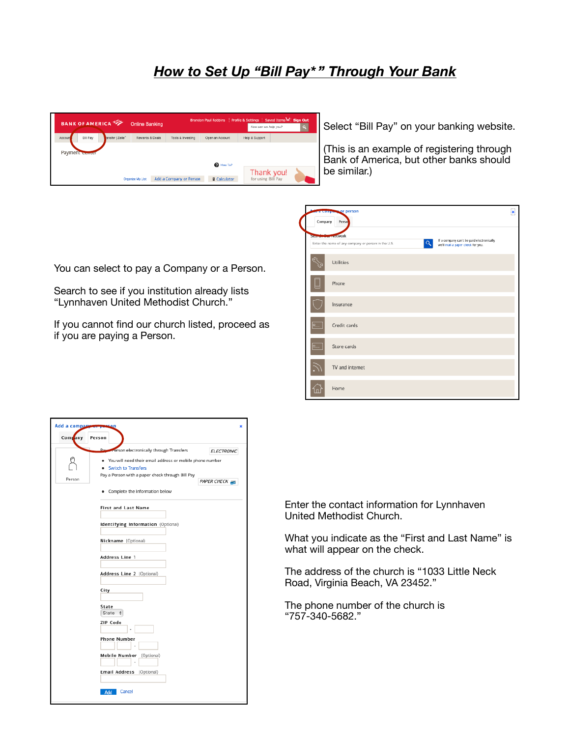## *How to Set Up "Bill Pay\* " Through Your Bank*

| <b>BANK OF AMERICA</b>                 | <b>Online Banking</b> |                         |                     | Brandon Paul Robbins   Profile & Settings   Saved Items =   Sign Out<br>How can we help you? | $\mathbf{a}$ |
|----------------------------------------|-----------------------|-------------------------|---------------------|----------------------------------------------------------------------------------------------|--------------|
| Bill Pay<br>ansfer   Zelle"<br>Account | Rewards & Deals       | Tools & Investing       | Open an Account     | Help & Support                                                                               |              |
| Payment www.er                         |                       |                         |                     |                                                                                              |              |
| <sup>6</sup> How To?                   |                       |                         |                     |                                                                                              |              |
|                                        |                       |                         |                     | Thank you!                                                                                   |              |
|                                        | Organize My List      | Add a Company or Person | <b>B</b> Calculator | for using Bill Pay                                                                           |              |

Select "Bill Pay" on your banking website.

(This is an example of registering through Bank of America, but other banks should be similar.)

| Company   | o a compare or person<br>Perso                                                                                                                                     | $\pmb{\times}$ |
|-----------|--------------------------------------------------------------------------------------------------------------------------------------------------------------------|----------------|
|           | Starth Car rectwork<br>If a company can't be paid electronically,<br>Q<br>Enter the name of any company or person in the U.S.<br>we'll mail a paper check for you. |                |
|           | Utilities                                                                                                                                                          |                |
|           | Phone                                                                                                                                                              |                |
|           | Insurance                                                                                                                                                          |                |
| <u>e</u>  | Credit cards                                                                                                                                                       |                |
| <u>e.</u> | Store cards                                                                                                                                                        |                |
|           | TV and internet                                                                                                                                                    |                |
|           | Home                                                                                                                                                               |                |

You can select to pay a Company or a Person.

Search to see if you institution already lists "Lynnhaven United Methodist Church."

If you cannot find our church listed, proceed as if you are paying a Person.

| Add a company weeks | ×                                                                                   |  |  |  |
|---------------------|-------------------------------------------------------------------------------------|--|--|--|
| Company             | Person                                                                              |  |  |  |
|                     | Pay Person electronically through Transfers<br><b>ELECTRONIC</b>                    |  |  |  |
|                     | . You will need their email address or mobile phone number<br>· Switch to Transfers |  |  |  |
| Person              | Pay a Person with a paper check through Bill Pay<br>PAPER CHECK                     |  |  |  |
|                     | • Complete the Information below                                                    |  |  |  |
|                     | <b>First and Last Name</b>                                                          |  |  |  |
|                     | Identifying Information (Optional)                                                  |  |  |  |
|                     | Nickname (Optional)                                                                 |  |  |  |
|                     | Address Line 1                                                                      |  |  |  |
|                     | Address Line 2 (Optional)                                                           |  |  |  |
|                     | City                                                                                |  |  |  |
|                     | State<br>State $\div$                                                               |  |  |  |
|                     | ZIP Code                                                                            |  |  |  |
|                     | <b>Phone Number</b>                                                                 |  |  |  |
|                     | Mobile Number (Optional)                                                            |  |  |  |
|                     | Email Address (Optional)                                                            |  |  |  |
|                     | Cancel<br><b>Add</b>                                                                |  |  |  |

Enter the contact information for Lynnhaven United Methodist Church.

What you indicate as the "First and Last Name" is what will appear on the check.

The address of the church is "1033 Little Neck Road, Virginia Beach, VA 23452."

The phone number of the church is "757-340-5682."